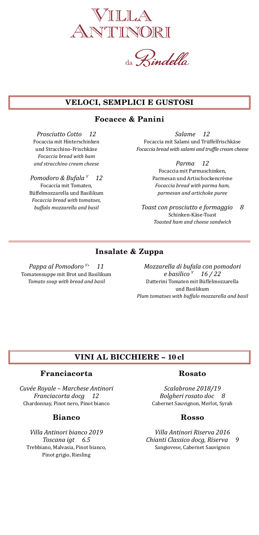

Rindella

# **VELOCI, SEMPLICI E GUSTOSI**

**Focacce & Panini**

*Prosciutto Cotto 12*

Focaccia mit Hinterschinken und Stracchino-Frischkäse *Focaccia bread with ham and stracchino cream cheese*

*Pomodoro & Bufala V 12* Focaccia mit Tomaten, Büffelmozzarella und Basilikum *Focaccia bread with tomatoes, buffalo mozzarella and basil*

*Salame 12* Focaccia mit Salami und Trüffelfrischkäse *Focaccia bread with salami and truffle cream cheese*

> *Parma 12* Focaccia mit Parmaschinken, Parmesan und Artischockencrème *Focaccia bread with parma ham, parmesan and artichoke puree*

*Toast con prosciutto e formaggio 8* Schinken-Käse-Toast *Toasted ham and cheese sandwich*

# **Insalate & Zuppa**

*Pappa al Pomodoro V+ 11* Tomatensuppe mit Brot und Basilikum *Tomato soup with bread and basil*

*Mozzarella di bufala con pomodori e basilico V 16 / 22* Datterini Tomaten mit Büffelmozzarella und Basilikum *Plum tomatoes with buffalo mozzarella and basil*

### **VINI AL BICCHIERE – 10 cl**

## **Franciacorta**

*Cuvée Royale – Marchese Antinori Franciacorta docg 12* Chardonnay, Pinot nero, Pinot bianco

### **Bianco**

*Villa Antinori bianco 2019 Toscana igt 6.5* Trebbiano, Malvasia, Pinot bianco, Pinot grigio, Riesling

#### **Rosato**

*Scalabrone 2018/19 Bolgheri rosato doc 8* Cabernet Sauvignon, Merlot, Syrah

### **Rosso**

*Villa Antinori Riserva 2016 Chianti Classico docg, Riserva 9* Sangiovese, Cabernet Sauvignon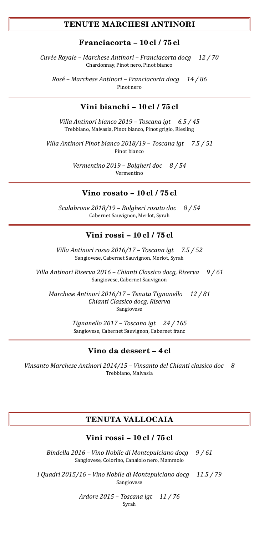# **TENUTE MARCHESI ANTINORI**

# **Franciacorta – 10 cl / 75 cl**

*Cuvée Royale – Marchese Antinori – Franciacorta docg 12 / 70* Chardonnay, Pinot nero, Pinot bianco

*Rosé – Marchese Antinori – Franciacorta docg 14 / 86* Pinot nero

# **Vini bianchi – 10 cl / 75 cl**

*Villa Antinori bianco 2019 – Toscana igt 6.5 / 45* Trebbiano, Malvasia, Pinot bianco, Pinot grigio, Riesling

*Villa Antinori Pinot bianco 2018/19 – Toscana igt 7.5 / 51* Pinot bianco

> *Vermentino 2019 – Bolgheri doc 8 / 54* Vermentino

### **Vino rosato – 10 cl / 75 cl**

*Scalabrone 2018/19 – Bolgheri rosato doc 8 / 54* Cabernet Sauvignon, Merlot, Syrah

# **Vini rossi – 10 cl / 75 cl**

*Villa Antinori rosso 2016/17 – Toscana igt 7.5 / 52* Sangiovese, Cabernet Sauvignon, Merlot, Syrah

*Villa Antinori Riserva 2016 – Chianti Classico docg, Riserva 9 / 61* Sangiovese, Cabernet Sauvignon

*Marchese Antinori 2016/17 – Tenuta Tignanello 12 / 81 Chianti Classico docg, Riserva* Sangiovese

> *Tignanello 2017 – Toscana igt 24 / 165* Sangiovese, Cabernet Sauvignon, Cabernet franc

# **Vino da dessert – 4 cl**

*Vinsanto Marchese Antinori 2014/15 – Vinsanto del Chianti classico doc 8* Trebbiano, Malvasia

# **TENUTA VALLOCAIA**

**Vini rossi – 10 cl / 75 cl**

*Bindella 2016 – Vino Nobile di Montepulciano docg 9 / 61* Sangiovese, Colorino, Canaiolo nero, Mammolo

*I Quadri 2015/16 – Vino Nobile di Montepulciano docg 11.5 / 79* Sangiovese

> *Ardore 2015 – Toscana igt 11 / 76* Syrah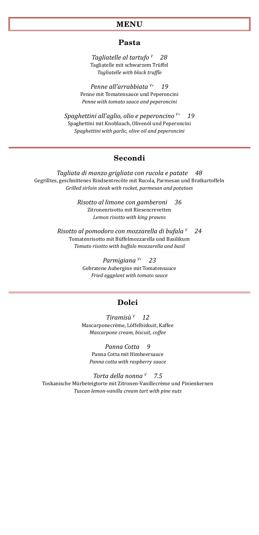#### **MENU**

### **Pasta**

*Tagliatelle al tartufo V 28* Tagliatelle mit schwarzem Trüffel *Tagliatelle with black truffle*

*Penne all'arrabbiata V+ 19* Penne mit Tomatensauce und Peperoncini *Penne with tomato sauce and peperoncini*

*Spaghettini all'aglio, olio e peperoncino V+ 19* Spaghettini mit Knoblauch, Olivenöl und Peperoncini *Spaghettini with garlic, olive oil and peperoncini*

### **Secondi**

*Tagliata di manzo grigliata con rucola e patate 48* Gegrilltes, geschnittenes Rindsentrecôte mit Rucola, Parmesan und Bratkartoffeln *Grilled sirloin steak with rocket, parmesan and potatoes*

> *Risotto al limone con gamberoni 36* Zitronenrisotto mit Riesencrevetten *Lemon risotto with king prawns*

*Risotto al pomodoro con mozzarella di bufala V 24* Tomatenrisotto mit Büffelmozzarella und Basilikum *Tomato risotto with buffalo mozzarella and basil*

> *Parmigiana V+ 23* Gebratene Aubergine mit Tomatensauce *Fried eggplant with tomato sauce*

### **Dolci**

*Tiramisù V 12* Mascarponecrème, Löffelbiskuit, Kaffee *Mascarpone cream, biscuit, coffee*

*Panna Cotta 9* Panna Cotta mit Himbeersauce *Panna cotta with raspberry sauce*

*Torta della nonna V 7.5* Toskanische Mürbeteigtorte mit Zitronen-Vanillecrème und Pinienkernen *Tuscan lemon-vanilla cream tart with pine nuts*